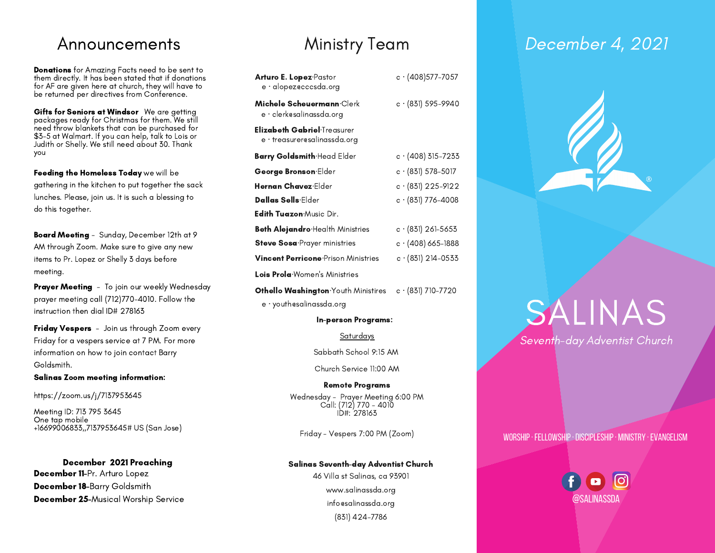Donations for Amazing Facts need to be sent to them directly. It has been stated that if donations for AF are given here at church, they will have to be returned per directives from Conference.

Gifts for Seniors at Windsor We are getting packages ready for Christmas for them. We still need throw blankets that can be purchased for \$3-5 at Walmart. If you can help, talk to Lois or Judith or Shelly. We still need about 30. Thank you

Feeding the Homeless Today we will be gathering in the kitchen to put together the sack lunches. Please, join us. It is such a blessing to do this together.

Board Meeting - Sunday, December 12th at 9 AM through Zoom. Make sure to give any new items to Pr. Lopez or Shelly 3 days before meeting.

Prayer Meeting - To join our weekly Wednesday prayer meeting call (712)770-4010. Follow the instruction then dial ID# 278163

Friday Vespers - Join us through Zoom every Friday for a vespers service at 7 PM. For more information on how to join contact Barry Goldsmith.

Salinas Zoom meeting information:

https://zoom.us/j/7137953645

Meeting ID: 713 795 3645 One tap mobile +16699006833,,7137953645# US (San Jose)

December 2021 Preaching December 11-Pr. Arturo Lopez December 18-Barry Goldsmith December 25-Musical Worship Service

| <b>Arturo E. Lopez</b> -Pastor<br>e · alopezecccsda.org       | $c \cdot (408)$ 577–7057   |
|---------------------------------------------------------------|----------------------------|
| Michele Scheuermann·Clerk<br>e · clerkesalinassda.org         | $c \cdot (831) 595 - 9940$ |
| Elizabeth Gabriel·Treasurer<br>$e$ · treasurer@salinassda.org |                            |
| <b>Barry Goldsmith</b> Head Elder                             | $c \cdot (408)$ 315-7233   |
| George Bronson Elder                                          | $c \cdot (831) 578 - 5017$ |
| Hernan Chavez·Elder                                           | c · (831) 225-9122         |
| Dallas Sells·Elder                                            | $c \cdot (831)$ 776–4008   |
| <b>Edith Tuazon:</b> Music Dir.                               |                            |
| <b>Beth Alejandro</b> Health Ministries                       | $c \cdot (831)$ 261–5653   |
| Steve Sosa <sup>.</sup> Prayer ministries                     | c · (408) 665-1888         |
| <b>Vincent Perricone</b> Prison Ministries                    | $c \cdot (831) 214 - 0533$ |
| <b>Lois Prola</b> Women's Ministries                          |                            |

Othello Washington∙Youth Ministires c · (831) 710-7720

e · youth@salinassda.org

### In-person Programs:

Saturdays

Sabbath School 9:15 AM

Church Service 11:00 AM

### Remote Programs

Wednesday - Prayer Meeting 6:00 PM Call: (712) 770 - 4010 ID#: 278163

Friday - Vespers 7:00 PM (Zoom)

### Salinas Seventh-day Adventist Church

46 Villa st Salinas, ca 93901 www.salinassda.org info@salinassda.org (831) 424-7786

## Announcements Ministry Team December 4, 2021



# SALINAS Seventh-day Adventist Church

### worship·fellowship·discipleship· ministry ·evangelism